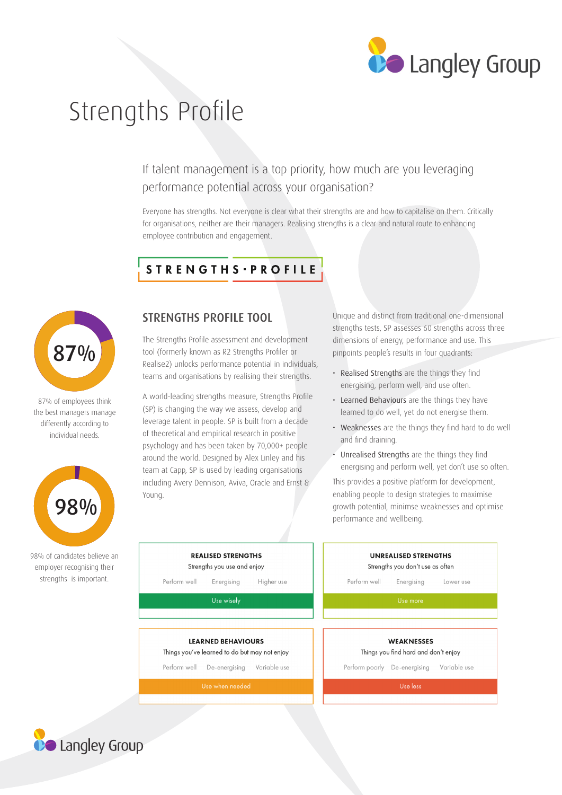

# Strengths Profile

If talent management is a top priority, how much are you leveraging performance potential across your organisation?

Everyone has strengths. Not everyone is clear what their strengths are and how to capitalise on them. Critically for organisations, neither are their managers. Realising strengths is a clear and natural route to enhancing employee contribution and engagement.

## STRENGTHS - PROFILE



87% of employees think the best managers manage differently according to individual needs.



98% of c employ streng

### STRENGTHS PROFILE TOOL

The Strengths Profile assessment and development tool (formerly known as R2 Strengths Profiler or Realise2) unlocks performance potential in individuals, teams and organisations by realising their strengths.

A world-leading strengths measure, Strengths Profile (SP) is changing the way we assess, develop and leverage talent in people. SP is built from a decade of theoretical and empirical research in positive psychology and has been taken by 70,000+ people around the world. Designed by Alex Linley and his team at Capp, SP is used by leading organisations including Avery Dennison, Aviva, Oracle and Ernst & Young.

Unique and distinct from traditional one-dimensional strengths tests, SP assesses 60 strengths across three dimensions of energy, performance and use. This pinpoints people's results in four quadrants:

- Realised Strengths are the things they find energising, perform well, and use often.
- Learned Behaviours are the things they have learned to do well, yet do not energise them.
- Weaknesses are the things they find hard to do well and find draining.
- • Unrealised Strengths are the things they find energising and perform well, yet don't use so often.

This provides a positive platform for development, enabling people to design strategies to maximise growth potential, minimse weaknesses and optimise performance and wellbeing.

| candidates believe an<br>er recognising their<br>gths is important. | <b>REALISED STRENGTHS</b><br>Strengths you use and enjoy<br>Perform well<br>Energising<br>Higher use | <b>UNREALISED STRENGTHS</b><br>Strengths you don't use as often<br>Perform well<br>Energising<br>Lower use |
|---------------------------------------------------------------------|------------------------------------------------------------------------------------------------------|------------------------------------------------------------------------------------------------------------|
|                                                                     | Use wisely                                                                                           | Use more                                                                                                   |
|                                                                     | <b>LEARNED BEHAVIOURS</b>                                                                            | <b>WEAKNESSES</b>                                                                                          |
|                                                                     | Things you've learned to do but may not enjoy<br>Variable use<br>Perform well<br>De-energising       | Things you find hard and don't enjoy<br>Variable use<br>De-energising<br>Perform poorly                    |
|                                                                     | Use when needed                                                                                      | Use less                                                                                                   |